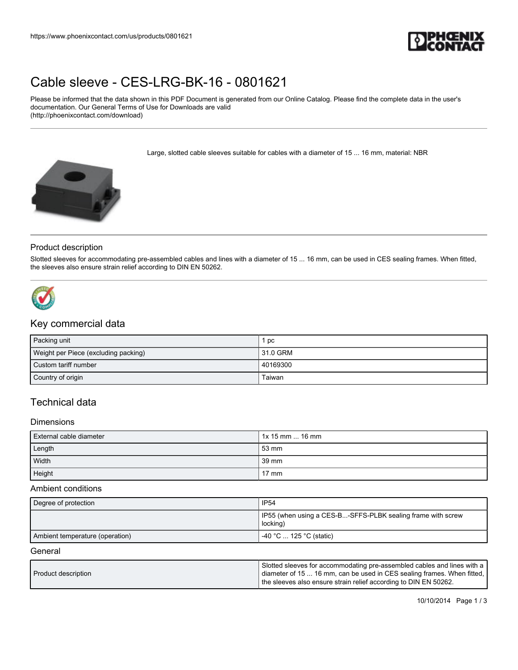

# [Cable sleeve - CES-LRG-BK-16 - 0801621](https://www.phoenixcontact.com/us/products/0801621)

Please be informed that the data shown in this PDF Document is generated from our Online Catalog. Please find the complete data in the user's documentation. Our General Terms of Use for Downloads are valid (http://phoenixcontact.com/download)

Large, slotted cable sleeves suitable for cables with a diameter of 15 ... 16 mm, material: NBR



#### Product description

Slotted sleeves for accommodating pre-assembled cables and lines with a diameter of 15 ... 16 mm, can be used in CES sealing frames. When fitted, the sleeves also ensure strain relief according to DIN EN 50262.



# Key commercial data

| Packing unit                         | l pc       |
|--------------------------------------|------------|
| Weight per Piece (excluding packing) | l 31.0 GRM |
| Custom tariff number                 | 40169300   |
| Country of origin                    | Taiwan     |

## Technical data

#### **Dimensions**

| External cable diameter | 1x 15 mm  16 mm |
|-------------------------|-----------------|
| Length                  | l 53 mm         |
| Width                   | 39 mm           |
| Height                  | $17 \text{ mm}$ |

#### Ambient conditions

| Degree of protection            | <b>IP54</b>                                                               |
|---------------------------------|---------------------------------------------------------------------------|
|                                 | I IP55 (when using a CES-B-SFFS-PLBK sealing frame with screw<br>locking) |
| Ambient temperature (operation) | $-40$ °C $\dots$ 125 °C (static)                                          |

#### **General**

| Product description | Slotted sleeves for accommodating pre-assembled cables and lines with a  <br>  diameter of 15  16 mm, can be used in CES sealing frames. When fitted, |
|---------------------|-------------------------------------------------------------------------------------------------------------------------------------------------------|
|                     | the sleeves also ensure strain relief according to DIN EN 50262.                                                                                      |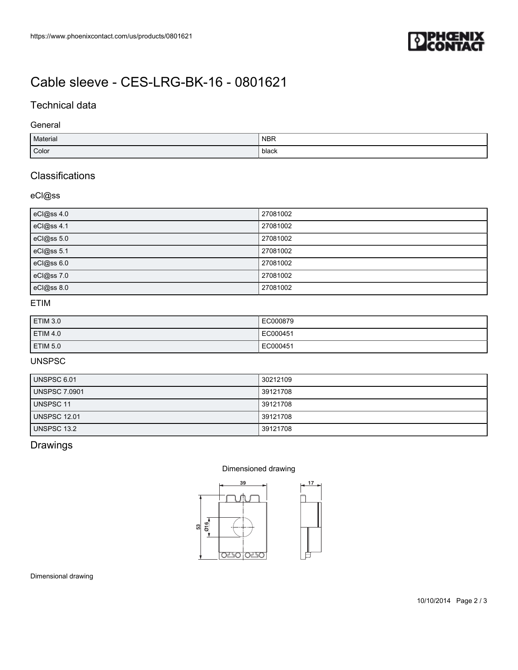

# [Cable sleeve - CES-LRG-BK-16 - 0801621](https://www.phoenixcontact.com/us/products/0801621)

## Technical data

### General

| Material | <b>NBR</b> |
|----------|------------|
| Color    | black      |

## **Classifications**

## eCl@ss

| eCl@ss 4.0 | 27081002 |
|------------|----------|
| eCl@ss 4.1 | 27081002 |
| eCl@ss 5.0 | 27081002 |
| eCl@ss 5.1 | 27081002 |
| eCl@ss 6.0 | 27081002 |
| eCl@ss 7.0 | 27081002 |
| eCl@ss 8.0 | 27081002 |

## ETIM

| ETIM 3.0 | EC000879 |
|----------|----------|
| ETIM 4.0 | EC000451 |
| ETIM 5.0 | EC000451 |

## UNSPSC

| UNSPSC 6.01          | 30212109 |
|----------------------|----------|
| <b>UNSPSC 7.0901</b> | 39121708 |
| <b>UNSPSC 11</b>     | 39121708 |
| <b>UNSPSC 12.01</b>  | 39121708 |
| UNSPSC 13.2          | 39121708 |

## Drawings

#### Dimensioned drawing



Dimensional drawing